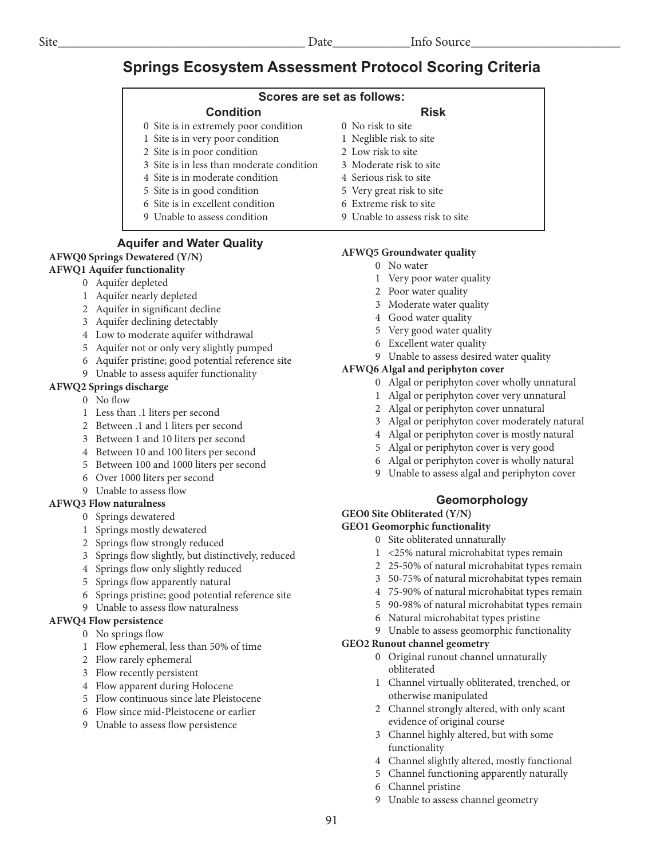# **Springs Ecosystem Assessment Protocol Scoring Criteria**

## **Scores are set as follows:**

#### **Condition**

- 0 Site is in extremely poor condition
- 1 Site is in very poor condition
- 2 Site is in poor condition
- 3 Site is in less than moderate condition
- 4 Site is in moderate condition
- 5 Site is in good condition
- 6 Site is in excellent condition
- 9 Unable to assess condition

#### **Aquifer and Water Quality**

## **AFWQ0 Springs Dewatered (Y/N)**

## **AFWQ1 Aquifer functionality**

- 0 Aquifer depleted
- 1 Aquifer nearly depleted
- 2 Aquifer in significant decline
- 3 Aquifer declining detectably
- 4 Low to moderate aquifer withdrawal
- 5 Aquifer not or only very slightly pumped
- 6 Aquifer pristine; good potential reference site
- 9 Unable to assess aquifer functionality

#### **AFWQ2 Springs discharge**

- 0 No flow
- 1 Less than .1 liters per second
- 2 Between .1 and 1 liters per second
- 3 Between 1 and 10 liters per second
- 4 Between 10 and 100 liters per second
- 5 Between 100 and 1000 liters per second
- 6 Over 1000 liters per second
- 9 Unable to assess flow

#### **AFWQ3 Flow naturalness**

- 0 Springs dewatered
- 1 Springs mostly dewatered
- 2 Springs flow strongly reduced
- 3 Springs flow slightly, but distinctively, reduced
- 4 Springs flow only slightly reduced
- 5 Springs flow apparently natural
- 6 Springs pristine; good potential reference site
- 9 Unable to assess flow naturalness

#### **AFWQ4 Flow persistence**

- 0 No springs flow
	- 1 Flow ephemeral, less than 50% of time
	- 2 Flow rarely ephemeral
	- 3 Flow recently persistent
	- 4 Flow apparent during Holocene
	- 5 Flow continuous since late Pleistocene
	- 6 Flow since mid-Pleistocene or earlier
	- 9 Unable to assess flow persistence

#### **Risk**

- 0 No risk to site
- 1 Neglible risk to site
- 2 Low risk to site
- 3 Moderate risk to site
- 4 Serious risk to site
- 5 Very great risk to site
- 6 Extreme risk to site
- 9 Unable to assess risk to site

#### **AFWQ5 Groundwater quality**

- 0 No water
- 1 Very poor water quality
- 2 Poor water quality
- 3 Moderate water quality
- 4 Good water quality
- 5 Very good water quality
- 6 Excellent water quality
- 9 Unable to assess desired water quality

#### **AFWQ6 Algal and periphyton cover**

- 0 Algal or periphyton cover wholly unnatural
- 1 Algal or periphyton cover very unnatural
- 2 Algal or periphyton cover unnatural
- 3 Algal or periphyton cover moderately natural
- 4 Algal or periphyton cover is mostly natural
- 5 Algal or periphyton cover is very good
- 6 Algal or periphyton cover is wholly natural
- 9 Unable to assess algal and periphyton cover

# **Geomorphology**

**GEO0 Site Obliterated (Y/N)**

# **GEO1 Geomorphic functionality**

- 0 Site obliterated unnaturally
- 1 <25% natural microhabitat types remain
- 2 25-50% of natural microhabitat types remain
- 3 50-75% of natural microhabitat types remain
- 4 75-90% of natural microhabitat types remain
- 5 90-98% of natural microhabitat types remain
- 6 Natural microhabitat types pristine
- 9 Unable to assess geomorphic functionality

#### **GEO2 Runout channel geometry**

- 0 Original runout channel unnaturally obliterated
- 1 Channel virtually obliterated, trenched, or otherwise manipulated
- 2 Channel strongly altered, with only scant evidence of original course
- 3 Channel highly altered, but with some functionality
- 4 Channel slightly altered, mostly functional
- 5 Channel functioning apparently naturally
- 6 Channel pristine
- Unable to assess channel geometry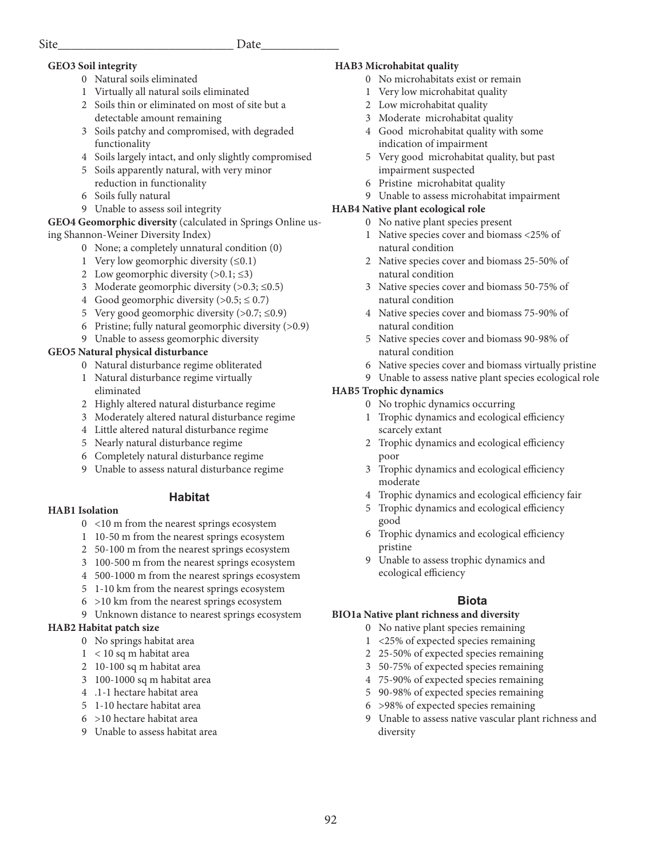# **GEO3 Soil integrity**

- 0 Natural soils eliminated
- 1 Virtually all natural soils eliminated
- 2 Soils thin or eliminated on most of site but a detectable amount remaining
- 3 Soils patchy and compromised, with degraded functionality
- 4 Soils largely intact, and only slightly compromised
- 5 Soils apparently natural, with very minor reduction in functionality
- 6 Soils fully natural
- 9 Unable to assess soil integrity

## **GEO4 Geomorphic diversity** (calculated in Springs Online using Shannon-Weiner Diversity Index)

- 0 None; a completely unnatural condition (0)
- 1 Very low geomorphic diversity (≤0.1)
- 2 Low geomorphic diversity  $(>0.1; \leq 3)$
- 3 Moderate geomorphic diversity  $(>0.3; \leq 0.5)$
- 4 Good geomorphic diversity  $(>0.5; \le 0.7)$
- 5 Very good geomorphic diversity (>0.7; ≤0.9)
- 6 Pristine; fully natural geomorphic diversity (>0.9)
- 9 Unable to assess geomorphic diversity

# **GEO5 Natural physical disturbance**

- 0 Natural disturbance regime obliterated
- 1 Natural disturbance regime virtually eliminated
- 2 Highly altered natural disturbance regime
- 3 Moderately altered natural disturbance regime
- 4 Little altered natural disturbance regime
- 5 Nearly natural disturbance regime
- 6 Completely natural disturbance regime
- 9 Unable to assess natural disturbance regime

# **Habitat**

# **HAB1 Isolation**

- 0 <10 m from the nearest springs ecosystem
- 1 10-50 m from the nearest springs ecosystem
- 2 50-100 m from the nearest springs ecosystem
- 3 100-500 m from the nearest springs ecosystem
- 4 500-1000 m from the nearest springs ecosystem
- 5 1-10 km from the nearest springs ecosystem
- 6 >10 km from the nearest springs ecosystem
- 9 Unknown distance to nearest springs ecosystem

# **HAB2 Habitat patch size**

- 0 No springs habitat area
- 1 < 10 sq m habitat area
- 2 10-100 sq m habitat area
- 3 100-1000 sq m habitat area
- 4 .1-1 hectare habitat area
- 5 1-10 hectare habitat area
- 6 >10 hectare habitat area
- 9 Unable to assess habitat area

# **HAB3 Microhabitat quality**

- 0 No microhabitats exist or remain
- 1 Very low microhabitat quality
- 2 Low microhabitat quality
- 3 Moderate microhabitat quality
- 4 Good microhabitat quality with some indication of impairment
- 5 Very good microhabitat quality, but past impairment suspected
- 6 Pristine microhabitat quality
- 9 Unable to assess microhabitat impairment

# **HAB4 Native plant ecological role**

- 0 No native plant species present
- 1 Native species cover and biomass <25% of natural condition
- 2 Native species cover and biomass 25-50% of natural condition
- 3 Native species cover and biomass 50-75% of natural condition
- 4 Native species cover and biomass 75-90% of natural condition
- 5 Native species cover and biomass 90-98% of natural condition
- 6 Native species cover and biomass virtually pristine
- 9 Unable to assess native plant species ecological role

# **HAB5 Trophic dynamics**

- 0 No trophic dynamics occurring
- 1 Trophic dynamics and ecological efficiency scarcely extant
- 2 Trophic dynamics and ecological efficiency poor
- 3 Trophic dynamics and ecological efficiency moderate
- 4 Trophic dynamics and ecological efficiency fair
- 5 Trophic dynamics and ecological efficiency good
- 6 Trophic dynamics and ecological efficiency pristine
- 9 Unable to assess trophic dynamics and ecological efficiency

# **Biota**

# **BIO1a Native plant richness and diversity**

- 0 No native plant species remaining
	- 1 <25% of expected species remaining
	- 2 25-50% of expected species remaining
	- 3 50-75% of expected species remaining
	- 4 75-90% of expected species remaining
	- 5 90-98% of expected species remaining
	- 6 >98% of expected species remaining
	- 9 Unable to assess native vascular plant richness and diversity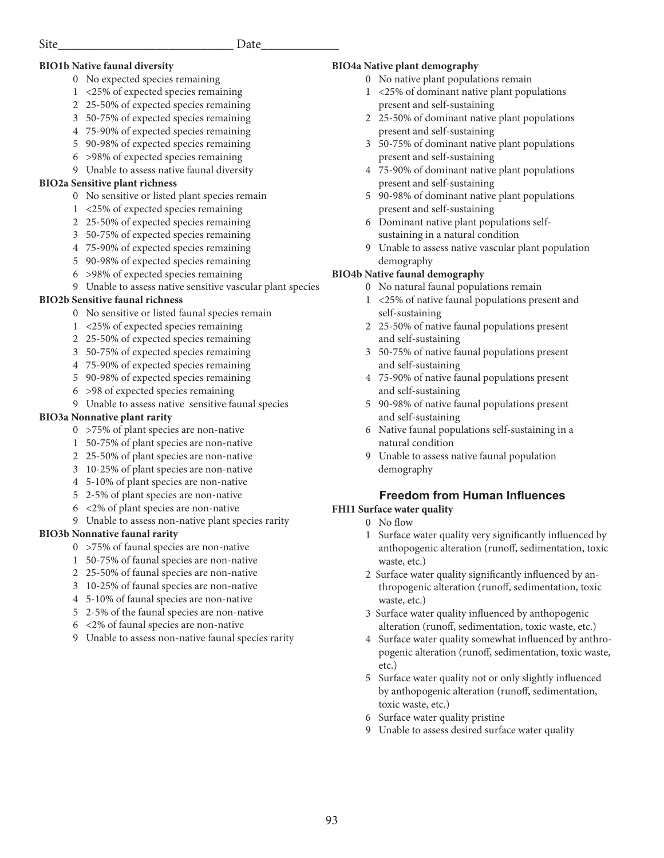#### **BIO1b Native faunal diversity**

- 0 No expected species remaining
- 1 <25% of expected species remaining
- 2 25-50% of expected species remaining
- 3 50-75% of expected species remaining
- 4 75-90% of expected species remaining
- 5 90-98% of expected species remaining
- 6 >98% of expected species remaining
- 9 Unable to assess native faunal diversity

#### **BIO2a Sensitive plant richness**

- 0 No sensitive or listed plant species remain
- 1 <25% of expected species remaining
- 2 25-50% of expected species remaining
- 3 50-75% of expected species remaining
- 4 75-90% of expected species remaining
- 5 90-98% of expected species remaining
- 6 >98% of expected species remaining
- 9 Unable to assess native sensitive vascular plant species

#### **BIO2b Sensitive faunal richness**

- 0 No sensitive or listed faunal species remain
- 1 <25% of expected species remaining
- 2 25-50% of expected species remaining
- 3 50-75% of expected species remaining
- 4 75-90% of expected species remaining
- 5 90-98% of expected species remaining
- 6 >98 of expected species remaining
- 9 Unable to assess native sensitive faunal species

#### **BIO3a Nonnative plant rarity**

- 0 >75% of plant species are non-native
- 1 50-75% of plant species are non-native
- 2 25-50% of plant species are non-native
- 3 10-25% of plant species are non-native
- 4 5-10% of plant species are non-native
- 5 2-5% of plant species are non-native
- 6 <2% of plant species are non-native
- 9 Unable to assess non-native plant species rarity

#### **BIO3b Nonnative faunal rarity**

- 0 >75% of faunal species are non-native
- 1 50-75% of faunal species are non-native
- 2 25-50% of faunal species are non-native
- 3 10-25% of faunal species are non-native
- 4 5-10% of faunal species are non-native
- 5 2-5% of the faunal species are non-native
- 6 <2% of faunal species are non-native
- 9 Unable to assess non-native faunal species rarity

#### **BIO4a Native plant demography**

- 0 No native plant populations remain
- 1 <25% of dominant native plant populations present and self-sustaining
- 2 25-50% of dominant native plant populations present and self-sustaining
- 3 50-75% of dominant native plant populations present and self-sustaining
- 4 75-90% of dominant native plant populations present and self-sustaining
- 5 90-98% of dominant native plant populations present and self-sustaining
- 6 Dominant native plant populations self sustaining in a natural condition
- 9 Unable to assess native vascular plant population demography

#### **BIO4b Native faunal demography**

- 0 No natural faunal populations remain
- 1 <25% of native faunal populations present and self-sustaining
- 2 25-50% of native faunal populations present and self-sustaining
- 3 50-75% of native faunal populations present and self-sustaining
- 4 75-90% of native faunal populations present and self-sustaining
- 5 90-98% of native faunal populations present and self-sustaining
- 6 Native faunal populations self-sustaining in a natural condition
- 9 Unable to assess native faunal population demography

# **Freedom from Human Influences**

#### **FHI1 Surface water quality**

- 0 No flow
- 1 Surface water quality very significantly influenced by anthopogenic alteration (runoff, sedimentation, toxic waste, etc.)
- 2 Surface water quality significantly influenced by an thropogenic alteration (runoff, sedimentation, toxic waste, etc.)
- 3 Surface water quality influenced by anthopogenic alteration (runoff, sedimentation, toxic waste, etc.)
- 4 Surface water quality somewhat influenced by anthro pogenic alteration (runoff, sedimentation, toxic waste, etc.)
- 5 Surface water quality not or only slightly influenced by anthopogenic alteration (runoff, sedimentation, toxic waste, etc.)
- 6 Surface water quality pristine
- 9 Unable to assess desired surface water quality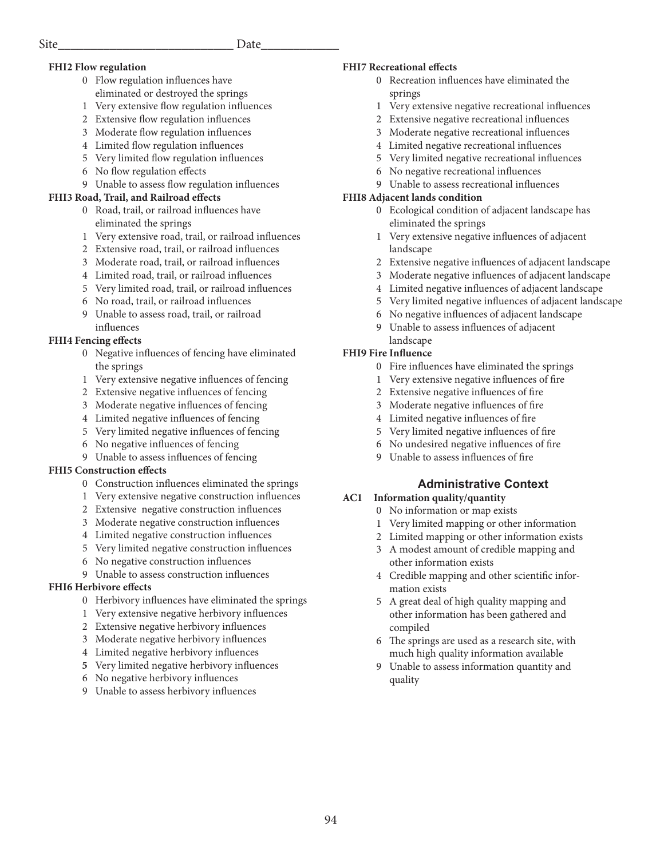#### **FHI2 Flow regulation**

- 0 Flow regulation influences have eliminated or destroyed the springs
- 1 Very extensive flow regulation influences
- 2 Extensive flow regulation influences
- 3 Moderate flow regulation influences
- 4 Limited flow regulation influences
- 5 Very limited flow regulation influences
- 6 No flow regulation effects
- 9 Unable to assess flow regulation influences

#### **FHI3 Road, Trail, and Railroad effects**

- 0 Road, trail, or railroad influences have eliminated the springs
- 1 Very extensive road, trail, or railroad influences
- 2 Extensive road, trail, or railroad influences
- 3 Moderate road, trail, or railroad influences
- 4 Limited road, trail, or railroad influences
- 5 Very limited road, trail, or railroad influences
- 6 No road, trail, or railroad influences
- 9 Unable to assess road, trail, or railroad influences

#### **FHI4 Fencing effects**

- 0 Negative influences of fencing have eliminated the springs
- 1 Very extensive negative influences of fencing
- 2 Extensive negative influences of fencing
- 3 Moderate negative influences of fencing
- 4 Limited negative influences of fencing
- 5 Very limited negative influences of fencing
- 6 No negative influences of fencing
- 9 Unable to assess influences of fencing

#### **FHI5 Construction effects**

- 0 Construction influences eliminated the springs
- 1 Very extensive negative construction influences
- 2 Extensive negative construction influences
- 3 Moderate negative construction influences
- 4 Limited negative construction influences
- 5 Very limited negative construction influences
- 6 No negative construction influences
- 9 Unable to assess construction influences

#### **FHI6 Herbivore effects**

- 0 Herbivory influences have eliminated the springs
- 1 Very extensive negative herbivory influences
- 2 Extensive negative herbivory influences
- 3 Moderate negative herbivory influences
- 4 Limited negative herbivory influences
- **5** Very limited negative herbivory influences
- 6 No negative herbivory influences
- 9 Unable to assess herbivory influences

#### **FHI7 Recreational effects**

- 0 Recreation influences have eliminated the springs
- 1 Very extensive negative recreational influences
- 2 Extensive negative recreational influences
- 3 Moderate negative recreational influences
- 4 Limited negative recreational influences
- 5 Very limited negative recreational influences
- 6 No negative recreational influences
- 9 Unable to assess recreational influences

#### **FHI8 Adjacent lands condition**

- 0 Ecological condition of adjacent landscape has eliminated the springs
- 1 Very extensive negative influences of adjacent landscape
- 2 Extensive negative influences of adjacent landscape
- 3 Moderate negative influences of adjacent landscape
- 4 Limited negative influences of adjacent landscape
- 5 Very limited negative influences of adjacent landscape
- 6 No negative influences of adjacent landscape
- 9 Unable to assess influences of adjacent landscape

#### **FHI9 Fire Influence**

- 0 Fire influences have eliminated the springs
- 1 Very extensive negative influences of fire
- 2 Extensive negative influences of fire
- 3 Moderate negative influences of fire
- 4 Limited negative influences of fire
- 5 Very limited negative influences of fire
- 6 No undesired negative influences of fire
- 9 Unable to assess influences of fire

## **Administrative Context**

#### **AC1 Information quality/quantity**

- 0 No information or map exists
- 1 Very limited mapping or other information
- 2 Limited mapping or other information exists
- 3 A modest amount of credible mapping and other information exists
- 4 Credible mapping and other scientific infor mation exists
- 5 A great deal of high quality mapping and other information has been gathered and compiled
- 6 The springs are used as a research site, with much high quality information available
- 9 Unable to assess information quantity and quality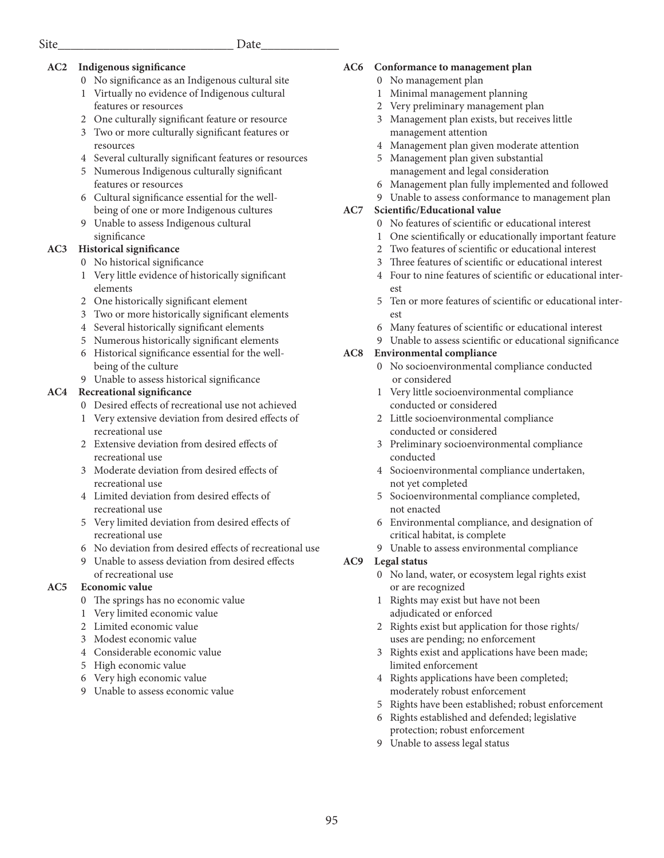### **AC2 Indigenous significance**

- 0 No significance as an Indigenous cultural site
- 1 Virtually no evidence of Indigenous cultural features or resources
- 2 One culturally significant feature or resource
- 3 Two or more culturally significant features or resources
- 4 Several culturally significant features or resources
- 5 Numerous Indigenous culturally significant features or resources
- 6 Cultural significance essential for the well being of one or more Indigenous cultures
- 9 Unable to assess Indigenous cultural significance

#### **AC3 Historical significance**

- 0 No historical significance
- 1 Very little evidence of historically significant elements
- 2 One historically significant element
- 3 Two or more historically significant elements
- 4 Several historically significant elements
- 5 Numerous historically significant elements
- 6 Historical significance essential for the well being of the culture
- 9 Unable to assess historical significance

#### **AC4 Recreational significance**

- 0 Desired effects of recreational use not achieved
- 1 Very extensive deviation from desired effects of recreational use
- 2 Extensive deviation from desired effects of recreational use
- 3 Moderate deviation from desired effects of recreational use
- 4 Limited deviation from desired effects of recreational use
- 5 Very limited deviation from desired effects of recreational use
- 6 No deviation from desired effects of recreational use
- 9 Unable to assess deviation from desired effects of recreational use

#### **AC5 Economic value**

- 0 The springs has no economic value
- 1 Very limited economic value
- 2 Limited economic value
- 3 Modest economic value
- 4 Considerable economic value
- 5 High economic value
- 6 Very high economic value
- 9 Unable to assess economic value

#### **AC6 Conformance to management plan**

- 0 No management plan
- 1 Minimal management planning
- 2 Very preliminary management plan
- 3 Management plan exists, but receives little management attention
- 4 Management plan given moderate attention
- 5 Management plan given substantial management and legal consideration
- 6 Management plan fully implemented and followed
- 9 Unable to assess conformance to management plan

#### **AC7 Scientific/Educational value**

- 0 No features of scientific or educational interest
- 1 One scientifically or educationally important feature
- 2 Two features of scientific or educational interest
- 3 Three features of scientific or educational interest
- 4 Four to nine features of scientific or educational inter est
- 5 Ten or more features of scientific or educational inter est
- 6 Many features of scientific or educational interest
- 9 Unable to assess scientific or educational significance

#### **AC8 Environmental compliance**

- 0 No socioenvironmental compliance conducted or considered
- 1 Very little socioenvironmental compliance conducted or considered
- 2 Little socioenvironmental compliance conducted or considered
- 3 Preliminary socioenvironmental compliance conducted
- 4 Socioenvironmental compliance undertaken, not yet completed
- 5 Socioenvironmental compliance completed, not enacted
- 6 Environmental compliance, and designation of critical habitat, is complete
- 9 Unable to assess environmental compliance

#### **AC9 Legal status**

- 0 No land, water, or ecosystem legal rights exist or are recognized
- 1 Rights may exist but have not been adjudicated or enforced
- 2 Rights exist but application for those rights/ uses are pending; no enforcement
- 3 Rights exist and applications have been made; limited enforcement
- 4 Rights applications have been completed; moderately robust enforcement
- 5 Rights have been established; robust enforcement
- 6 Rights established and defended; legislative protection; robust enforcement
- 9 Unable to assess legal status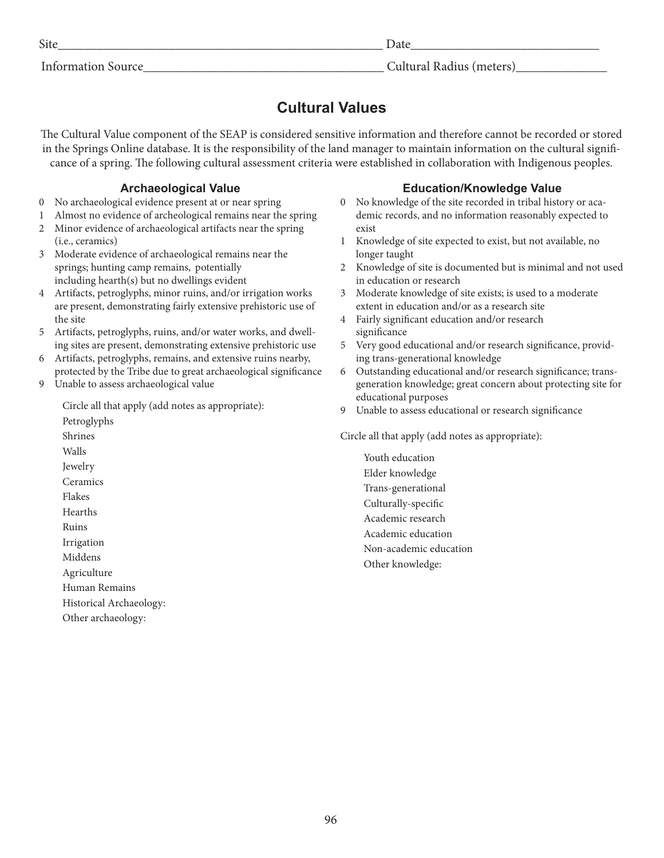Site\_\_\_\_\_\_\_\_\_\_\_\_\_\_\_\_\_\_\_\_\_\_\_\_\_\_\_\_\_\_\_\_\_\_\_\_\_\_\_\_\_\_\_\_\_\_\_\_\_\_ Date\_\_\_\_\_\_\_\_\_\_\_\_\_\_\_\_\_\_\_\_\_\_\_\_\_\_\_\_\_

# Information Source Theorem 2011 Cultural Radius (meters)

# **Cultural Values**

The Cultural Value component of the SEAP is considered sensitive information and therefore cannot be recorded or stored in the Springs Online database. It is the responsibility of the land manager to maintain information on the cultural significance of a spring. The following cultural assessment criteria were established in collaboration with Indigenous peoples.

# **Archaeological Value**

- 0 No archaeological evidence present at or near spring
- 1 Almost no evidence of archeological remains near the spring
- 2 Minor evidence of archaeological artifacts near the spring (i.e., ceramics)
- 3 Moderate evidence of archaeological remains near the springs; hunting camp remains, potentially including hearth(s) but no dwellings evident
- 4 Artifacts, petroglyphs, minor ruins, and/or irrigation works are present, demonstrating fairly extensive prehistoric use of the site
- 5 Artifacts, petroglyphs, ruins, and/or water works, and dwelling sites are present, demonstrating extensive prehistoric use
- 6 Artifacts, petroglyphs, remains, and extensive ruins nearby, protected by the Tribe due to great archaeological significance
- 9 Unable to assess archaeological value

Circle all that apply (add notes as appropriate):

Petroglyphs Shrines

Walls Jewelry

Ceramics

Flakes

Hearths

Ruins

- Irrigation
- Middens

Agriculture

Human Remains

Historical Archaeology:

Other archaeology:

# **Education/Knowledge Value**

- 0 No knowledge of the site recorded in tribal history or academic records, and no information reasonably expected to exist
- 1 Knowledge of site expected to exist, but not available, no longer taught
- 2 Knowledge of site is documented but is minimal and not used in education or research
- 3 Moderate knowledge of site exists; is used to a moderate extent in education and/or as a research site
- 4 Fairly significant education and/or research significance
- 5 Very good educational and/or research significance, providing trans-generational knowledge
- 6 Outstanding educational and/or research significance; transgeneration knowledge; great concern about protecting site for educational purposes
- 9 Unable to assess educational or research significance

Circle all that apply (add notes as appropriate):

Youth education Elder knowledge Trans-generational Culturally-specific Academic research Academic education Non-academic education Other knowledge: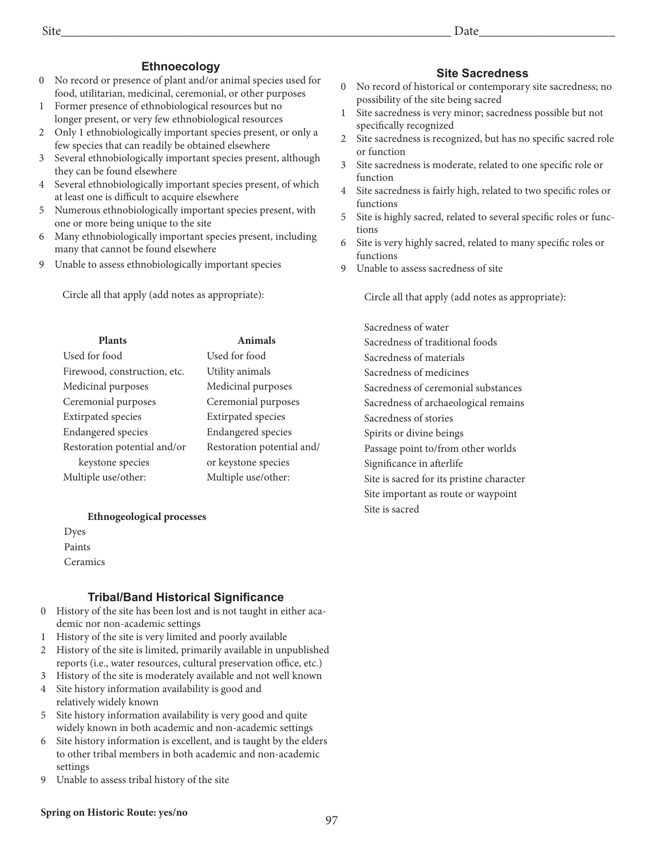# **Ethnoecology**

- 0 No record or presence of plant and/or animal species used for food, utilitarian, medicinal, ceremonial, or other purposes
- 1 Former presence of ethnobiological resources but no longer present, or very few ethnobiological resources
- 2 Only 1 ethnobiologically important species present, or only a few species that can readily be obtained elsewhere
- 3 Several ethnobiologically important species present, although they can be found elsewhere
- 4 Several ethnobiologically important species present, of which at least one is difficult to acquire elsewhere
- 5 Numerous ethnobiologically important species present, with one or more being unique to the site
- 6 Many ethnobiologically important species present, including many that cannot be found elsewhere
- 9 Unable to assess ethnobiologically important species

Circle all that apply (add notes as appropriate):

| Plants                       | Animals                    |
|------------------------------|----------------------------|
| Used for food                | Used for food              |
| Firewood, construction, etc. | Utility animals            |
| Medicinal purposes           | Medicinal purposes         |
| Ceremonial purposes          | Ceremonial purposes        |
| <b>Extirpated</b> species    | <b>Extirpated</b> species  |
| <b>Endangered</b> species    | <b>Endangered</b> species  |
| Restoration potential and/or | Restoration potential and/ |
| keystone species             | or keystone species        |
| Multiple use/other:          | Multiple use/other:        |
|                              |                            |

#### **Ethnogeological processes**

Dyes Paints **Ceramics** 

## **Tribal/Band Historical Significance**

- 0 History of the site has been lost and is not taught in either academic nor non-academic settings
- 1 History of the site is very limited and poorly available
- 2 History of the site is limited, primarily available in unpublished reports (i.e., water resources, cultural preservation office, etc.)
- 3 History of the site is moderately available and not well known 4 Site history information availability is good and
- relatively widely known
- 5 Site history information availability is very good and quite widely known in both academic and non-academic settings
- 6 Site history information is excellent, and is taught by the elders to other tribal members in both academic and non-academic settings
- 9 Unable to assess tribal history of the site

# **Site Sacredness**

- 0 No record of historical or contemporary site sacredness; no possibility of the site being sacred
- 1 Site sacredness is very minor; sacredness possible but not specifically recognized
- 2 Site sacredness is recognized, but has no specific sacred role or function
- 3 Site sacredness is moderate, related to one specific role or function
- 4 Site sacredness is fairly high, related to two specific roles or functions
- 5 Site is highly sacred, related to several specific roles or functions
- 6 Site is very highly sacred, related to many specific roles or functions
- 9 Unable to assess sacredness of site

Circle all that apply (add notes as appropriate):

Sacredness of water Sacredness of traditional foods Sacredness of materials Sacredness of medicines Sacredness of ceremonial substances Sacredness of archaeological remains Sacredness of stories Spirits or divine beings Passage point to/from other worlds Significance in afterlife Site is sacred for its pristine character Site important as route or waypoint Site is sacred

#### **Spring on Historic Route: yes/no**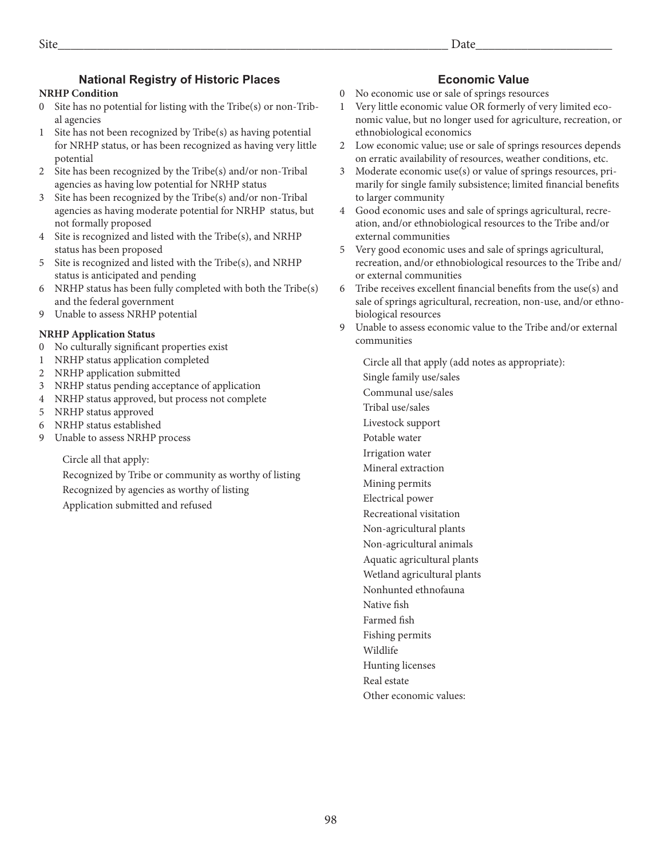# **National Registry of Historic Places**

### **NRHP Condition**

- 0 Site has no potential for listing with the Tribe(s) or non-Tribal agencies
- 1 Site has not been recognized by Tribe(s) as having potential for NRHP status, or has been recognized as having very little potential
- 2 Site has been recognized by the Tribe(s) and/or non-Tribal agencies as having low potential for NRHP status
- 3 Site has been recognized by the Tribe(s) and/or non-Tribal agencies as having moderate potential for NRHP status, but not formally proposed
- 4 Site is recognized and listed with the Tribe(s), and NRHP status has been proposed
- 5 Site is recognized and listed with the Tribe(s), and NRHP status is anticipated and pending
- 6 NRHP status has been fully completed with both the Tribe(s) and the federal government
- 9 Unable to assess NRHP potential

### **NRHP Application Status**

- 0 No culturally significant properties exist
- 1 NRHP status application completed
- 2 NRHP application submitted
- 3 NRHP status pending acceptance of application
- 4 NRHP status approved, but process not complete
- 5 NRHP status approved
- 6 NRHP status established
- 9 Unable to assess NRHP process

Circle all that apply:

Recognized by Tribe or community as worthy of listing Recognized by agencies as worthy of listing Application submitted and refused

# **Economic Value**

- 0 No economic use or sale of springs resources
- 1 Very little economic value OR formerly of very limited economic value, but no longer used for agriculture, recreation, or ethnobiological economics
- 2 Low economic value; use or sale of springs resources depends on erratic availability of resources, weather conditions, etc.
- 3 Moderate economic use(s) or value of springs resources, primarily for single family subsistence; limited financial benefits to larger community
- 4 Good economic uses and sale of springs agricultural, recreation, and/or ethnobiological resources to the Tribe and/or external communities
- 5 Very good economic uses and sale of springs agricultural, recreation, and/or ethnobiological resources to the Tribe and/ or external communities
- 6 Tribe receives excellent financial benefits from the use(s) and sale of springs agricultural, recreation, non-use, and/or ethnobiological resources
- 9 Unable to assess economic value to the Tribe and/or external communities
	- Circle all that apply (add notes as appropriate):
	- Single family use/sales
	- Communal use/sales
	- Tribal use/sales
	- Livestock support
	- Potable water
	- Irrigation water
	- Mineral extraction
	- Mining permits
	- Electrical power
	- Recreational visitation
	- Non-agricultural plants
	- Non-agricultural animals
	- Aquatic agricultural plants Wetland agricultural plants
	- Nonhunted ethnofauna
	- Native fish
	- Farmed fish
	- Fishing permits
	- Wildlife

Hunting licenses

- Real estate
- Other economic values: